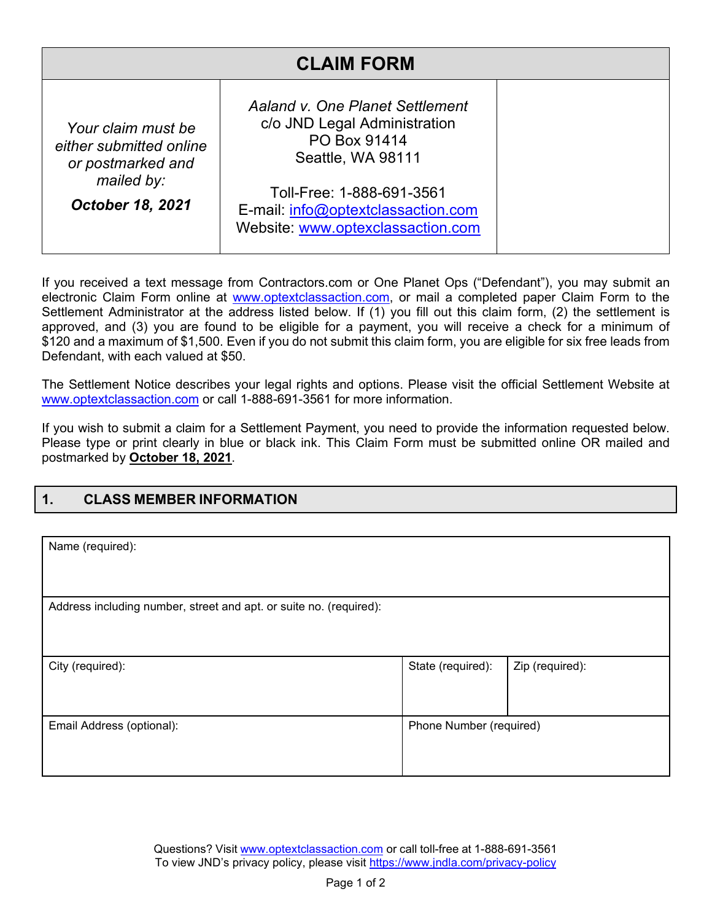| <b>CLAIM FORM</b>                                                                                           |                                                                                                                                                                                                              |  |  |  |
|-------------------------------------------------------------------------------------------------------------|--------------------------------------------------------------------------------------------------------------------------------------------------------------------------------------------------------------|--|--|--|
| Your claim must be<br>either submitted online<br>or postmarked and<br>mailed by:<br><b>October 18, 2021</b> | Aaland v. One Planet Settlement<br>c/o JND Legal Administration<br>PO Box 91414<br>Seattle, WA 98111<br>Toll-Free: 1-888-691-3561<br>E-mail: info@optextclassaction.com<br>Website: www.optexclassaction.com |  |  |  |

If you received a text message from Contractors.com or One Planet Ops ("Defendant"), you may submit an electronic Claim Form online at www.optextclassaction.com, or mail a completed paper Claim Form to the Settlement Administrator at the address listed below. If (1) you fill out this claim form, (2) the settlement is approved, and (3) you are found to be eligible for a payment, you will receive a check for a minimum of \$120 and a maximum of \$1,500. Even if you do not submit this claim form, you are eligible for six free leads from Defendant, with each valued at \$50.

The Settlement Notice describes your legal rights and options. Please visit the official Settlement Website at www.optextclassaction.com or call 1-888-691-3561 for more information.

If you wish to submit a claim for a Settlement Payment, you need to provide the information requested below. Please type or print clearly in blue or black ink. This Claim Form must be submitted online OR mailed and postmarked by **October 18, 2021**.

| <b>CLASS MEMBER INFORMATION</b> |  |
|---------------------------------|--|
|                                 |  |

| Name (required):                                                   |                         |                 |  |  |  |
|--------------------------------------------------------------------|-------------------------|-----------------|--|--|--|
| Address including number, street and apt. or suite no. (required): |                         |                 |  |  |  |
| City (required):                                                   | State (required):       | Zip (required): |  |  |  |
| Email Address (optional):                                          | Phone Number (required) |                 |  |  |  |